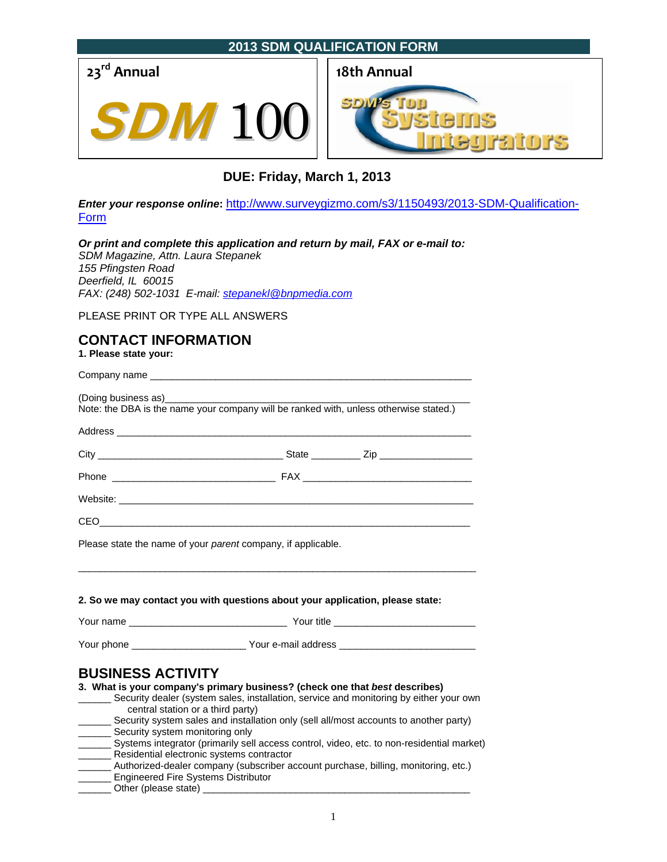

# **DUE: Friday, March 1, 2013**

*Enter your response online***:** http://www.surveygizmo.com/s3/1150493/2013-SDM-Qualification-Form

*Or print and complete this application and return by mail, FAX or e-mail to: SDM Magazine, Attn. Laura Stepanek* 

*155 Pfingsten Road Deerfield, IL 60015 FAX: (248) 502-1031 E-mail: stepanekl@bnpmedia.com*

PLEASE PRINT OR TYPE ALL ANSWERS

# **CONTACT INFORMATION**

**1. Please state your:** 

| (Doing business as) [19] (Doing business as) | Note: the DBA is the name your company will be ranked with, unless otherwise stated.)                                                                                                                                          |
|----------------------------------------------|--------------------------------------------------------------------------------------------------------------------------------------------------------------------------------------------------------------------------------|
|                                              | Address and the contract of the contract of the contract of the contract of the contract of the contract of the contract of the contract of the contract of the contract of the contract of the contract of the contract of th |
|                                              |                                                                                                                                                                                                                                |
|                                              |                                                                                                                                                                                                                                |
|                                              |                                                                                                                                                                                                                                |
|                                              |                                                                                                                                                                                                                                |
|                                              | Please state the name of your <i>parent</i> company, if applicable.                                                                                                                                                            |
|                                              | 2. So we may contact you with questions about your application, please state:                                                                                                                                                  |
|                                              |                                                                                                                                                                                                                                |
| <b>BUSINESS ACTIVITY</b>                     |                                                                                                                                                                                                                                |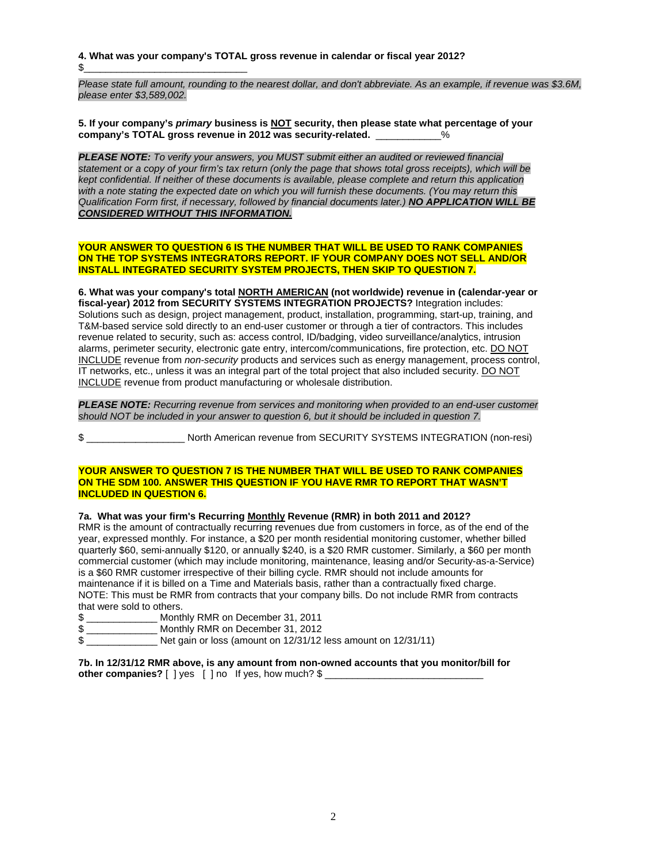**4. What was your company's TOTAL gross revenue in calendar or fiscal year 2012?**  $\$$ 

*Please state full amount, rounding to the nearest dollar, and don't abbreviate. As an example, if revenue was \$3.6M, please enter \$3,589,002.* 

**5. If your company's** *primary* **business is NOT security, then please state what percentage of your company's TOTAL gross revenue in 2012 was security-related.** \_\_\_\_\_\_\_\_\_\_\_\_%

*PLEASE NOTE: To verify your answers, you MUST submit either an audited or reviewed financial statement or a copy of your firm's tax return (only the page that shows total gross receipts), which will be kept confidential. If neither of these documents is available, please complete and return this application with a note stating the expected date on which you will furnish these documents. (You may return this Qualification Form first, if necessary, followed by financial documents later.) NO APPLICATION WILL BE CONSIDERED WITHOUT THIS INFORMATION.*

### **YOUR ANSWER TO QUESTION 6 IS THE NUMBER THAT WILL BE USED TO RANK COMPANIES ON THE TOP SYSTEMS INTEGRATORS REPORT. IF YOUR COMPANY DOES NOT SELL AND/OR INSTALL INTEGRATED SECURITY SYSTEM PROJECTS, THEN SKIP TO QUESTION 7.**

**6. What was your company's total NORTH AMERICAN (not worldwide) revenue in (calendar-year or fiscal-year) 2012 from SECURITY SYSTEMS INTEGRATION PROJECTS?** Integration includes: Solutions such as design, project management, product, installation, programming, start-up, training, and T&M-based service sold directly to an end-user customer or through a tier of contractors. This includes revenue related to security, such as: access control, ID/badging, video surveillance/analytics, intrusion alarms, perimeter security, electronic gate entry, intercom/communications, fire protection, etc. DO NOT INCLUDE revenue from *non-security* products and services such as energy management, process control, IT networks, etc., unless it was an integral part of the total project that also included security. DO NOT INCLUDE revenue from product manufacturing or wholesale distribution.

*PLEASE NOTE: Recurring revenue from services and monitoring when provided to an end-user customer should NOT be included in your answer to question 6, but it should be included in question 7.* 

\$ \_\_\_\_\_\_\_\_\_\_\_\_\_\_\_\_\_\_ North American revenue from SECURITY SYSTEMS INTEGRATION (non-resi)

#### **YOUR ANSWER TO QUESTION 7 IS THE NUMBER THAT WILL BE USED TO RANK COMPANIES ON THE SDM 100. ANSWER THIS QUESTION IF YOU HAVE RMR TO REPORT THAT WASN'T INCLUDED IN QUESTION 6.**

### **7a. What was your firm's Recurring Monthly Revenue (RMR) in both 2011 and 2012?**

RMR is the amount of contractually recurring revenues due from customers in force, as of the end of the year, expressed monthly. For instance, a \$20 per month residential monitoring customer, whether billed quarterly \$60, semi-annually \$120, or annually \$240, is a \$20 RMR customer. Similarly, a \$60 per month commercial customer (which may include monitoring, maintenance, leasing and/or Security-as-a-Service) is a \$60 RMR customer irrespective of their billing cycle. RMR should not include amounts for maintenance if it is billed on a Time and Materials basis, rather than a contractually fixed charge. NOTE: This must be RMR from contracts that your company bills. Do not include RMR from contracts that were sold to others.

- \$ \_\_\_\_\_\_\_\_\_\_\_\_\_ Monthly RMR on December 31, 2011
- \$ \_\_\_\_\_\_\_\_\_\_\_\_\_ Monthly RMR on December 31, 2012
- \$ Net gain or loss (amount on 12/31/12 less amount on 12/31/11)

**7b. In 12/31/12 RMR above, is any amount from non-owned accounts that you monitor/bill for other companies?** [ ] yes [ ] no If yes, how much? \$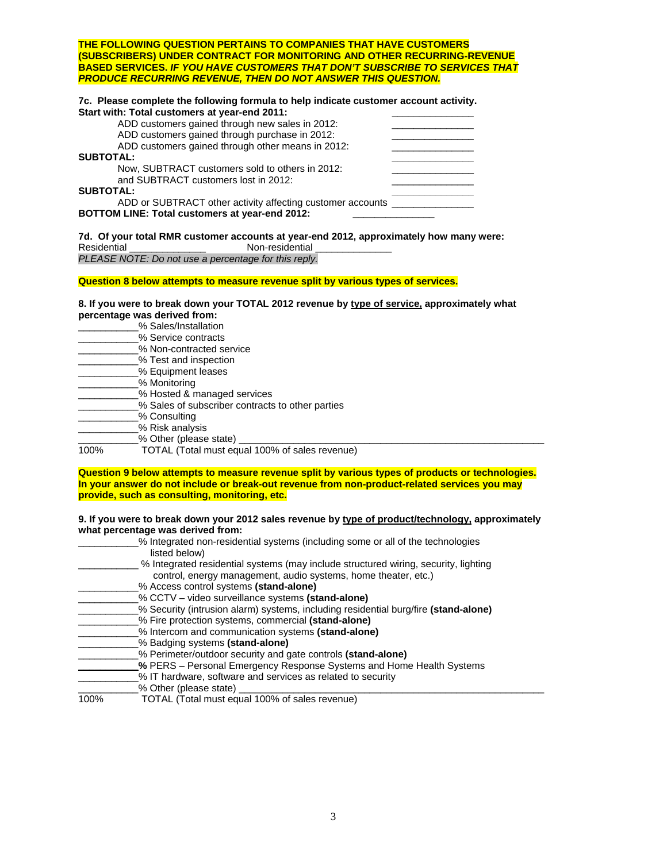| <b>THE FOLLOWING QUESTION PERTAINS TO COMPANIES THAT HAVE CUSTOMERS</b>                                                                |  |
|----------------------------------------------------------------------------------------------------------------------------------------|--|
| (SUBSCRIBERS) UNDER CONTRACT FOR MONITORING AND OTHER RECURRING-REVENUE                                                                |  |
| <b>BASED SERVICES. IF YOU HAVE CUSTOMERS THAT DON'T SUBSCRIBE TO SERVICES THAT</b>                                                     |  |
| <b>PRODUCE RECURRING REVENUE, THEN DO NOT ANSWER THIS QUESTION.</b>                                                                    |  |
| 7c. Please complete the following formula to help indicate customer account activity.<br>Start with: Total customers at year-end 2011: |  |
| ADD customers gained through new sales in 2012:                                                                                        |  |
|                                                                                                                                        |  |
| ADD customers gained through purchase in 2012:                                                                                         |  |
| ADD customers gained through other means in 2012:                                                                                      |  |
| <b>SUBTOTAL:</b>                                                                                                                       |  |
| Now, SUBTRACT customers sold to others in 2012:                                                                                        |  |
| and SUBTRACT customers lost in 2012:                                                                                                   |  |
|                                                                                                                                        |  |

SUBTOTAL: ADD or SUBTRACT other activity affecting customer accounts **BOTTOM LINE: Total customers at year-end 2012: \_\_\_\_\_\_\_\_\_\_\_\_\_\_\_** 

**7d. Of your total RMR customer accounts at year-end 2012, approximately how many were:**  Residential **Residential** Non-residential *PLEASE NOTE: Do not use a percentage for this reply.* 

### **Question 8 below attempts to measure revenue split by various types of services.**

#### **8. If you were to break down your TOTAL 2012 revenue by type of service, approximately what percentage was derived from:**

|      | % Sales/Installation                             |
|------|--------------------------------------------------|
|      | % Service contracts                              |
|      | % Non-contracted service                         |
|      | % Test and inspection                            |
|      | % Equipment leases                               |
|      | % Monitoring                                     |
|      | % Hosted & managed services                      |
|      | % Sales of subscriber contracts to other parties |
|      | % Consulting                                     |
|      | % Risk analysis                                  |
|      | % Other (please state)                           |
| 100% | TOTAL (Total must equal 100% of sales revenue)   |

### **Question 9 below attempts to measure revenue split by various types of products or technologies. In your answer do not include or break-out revenue from non-product-related services you may provide, such as consulting, monitoring, etc.**

**9. If you were to break down your 2012 sales revenue by type of product/technology, approximately what percentage was derived from:** 

|      | % Integrated non-residential systems (including some or all of the technologies     |
|------|-------------------------------------------------------------------------------------|
|      | listed below)                                                                       |
|      | % Integrated residential systems (may include structured wiring, security, lighting |
|      | control, energy management, audio systems, home theater, etc.)                      |
|      | % Access control systems (stand-alone)                                              |
|      | % CCTV – video surveillance systems (stand-alone)                                   |
|      | % Security (intrusion alarm) systems, including residential burg/fire (stand-alone) |
|      | % Fire protection systems, commercial (stand-alone)                                 |
|      | % Intercom and communication systems (stand-alone)                                  |
|      | % Badging systems (stand-alone)                                                     |
|      | % Perimeter/outdoor security and gate controls (stand-alone)                        |
|      | % PERS – Personal Emergency Response Systems and Home Health Systems                |
|      | % IT hardware, software and services as related to security                         |
|      | % Other (please state)                                                              |
| 100% | TOTAL (Total must equal 100% of sales revenue)                                      |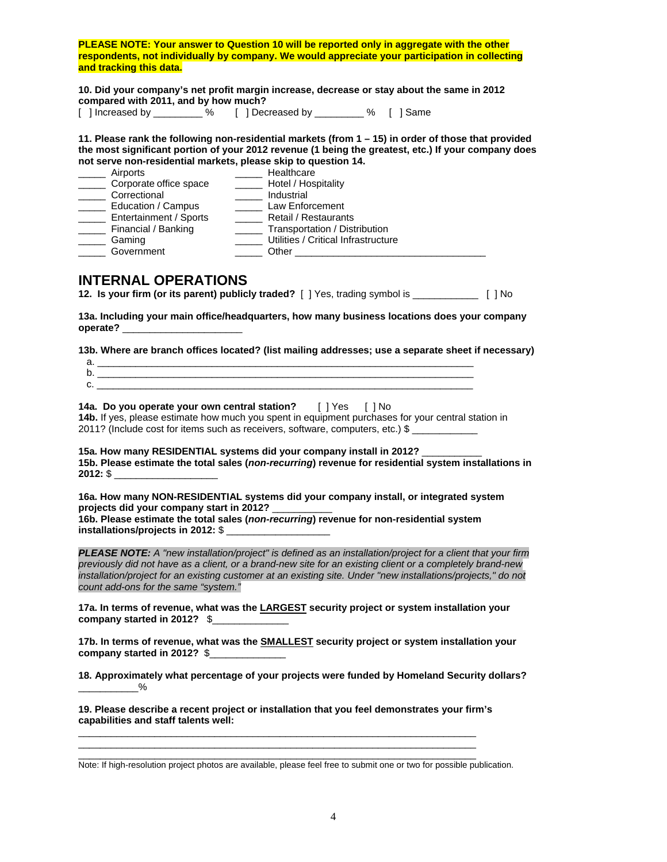**PLEASE NOTE: Your answer to Question 10 will be reported only in aggregate with the other respondents, not individually by company. We would appreciate your participation in collecting and tracking this data.** 

**10. Did your company's net profit margin increase, decrease or stay about the same in 2012 compared with 2011, and by how much?**<br>
[ ] Increased by \_\_\_\_\_\_\_\_\_% [ ] Dec

[ ] Decreased by \_\_\_\_\_\_\_\_ % [ ] Same

**11. Please rank the following non-residential markets (from 1 – 15) in order of those that provided the most significant portion of your 2012 revenue (1 being the greatest, etc.) If your company does not serve non-residential markets, please skip to question 14.** 

| Airports               | Healthcare                          |
|------------------------|-------------------------------------|
| Corporate office space | Hotel / Hospitality                 |
| Correctional           | Industrial                          |
| Education / Campus     | Law Enforcement                     |
| Entertainment / Sports | Retail / Restaurants                |
| Financial / Banking    | Transportation / Distribution       |
| Gaming                 | Utilities / Critical Infrastructure |
| Government             | Other                               |

### **INTERNAL OPERATIONS**

**12. Is your firm (or its parent) publicly traded?** [ ] Yes, trading symbol is \_\_\_\_\_\_\_\_\_\_\_\_ [ ] No

**13a. Including your main office/headquarters, how many business locations does your company operate?** \_\_\_\_\_\_\_\_\_\_\_\_\_\_\_\_\_\_\_\_\_\_

**13b. Where are branch offices located? (list mailing addresses; use a separate sheet if necessary)** 

a.  $\frac{1}{2}$  .  $\frac{1}{2}$  . The set of the set of the set of the set of the set of the set of the set of the set of the set of the set of the set of the set of the set of the set of the set of the set of the set of the set  $b.$  $c.$   $\overline{\phantom{a}}$ 

**14a. Do you operate your own central station?** [ ] Yes [ ] No **14b.** If yes, please estimate how much you spent in equipment purchases for your central station in 2011? (Include cost for items such as receivers, software, computers, etc.) \$ \_\_\_\_\_\_\_\_\_\_\_\_

**15a. How many RESIDENTIAL systems did your company install in 2012?** \_\_\_\_\_\_\_\_\_\_\_ **15b. Please estimate the total sales (***non-recurring***) revenue for residential system installations in 2012:** \$ \_\_\_\_\_\_\_\_\_\_\_\_\_\_\_\_\_\_\_

**16a. How many NON-RESIDENTIAL systems did your company install, or integrated system projects did your company start in 2012?** \_\_\_\_\_\_\_\_\_\_\_ **16b. Please estimate the total sales (***non-recurring***) revenue for non-residential system**  installations/projects in 2012: \$

*PLEASE NOTE: A "new installation/project" is defined as an installation/project for a client that your firm previously did not have as a client, or a brand-new site for an existing client or a completely brand-new*  installation/project for an existing customer at an existing site. Under "new installations/projects," do not *count add-ons for the same "system."*

**17a. In terms of revenue, what was the LARGEST security project or system installation your company started in 2012?** \$\_\_\_\_\_\_\_\_\_\_\_\_\_\_

**17b. In terms of revenue, what was the SMALLEST security project or system installation your company started in 2012?** \$\_\_\_\_\_\_\_\_\_\_\_\_\_\_

**18. Approximately what percentage of your projects were funded by Homeland Security dollars?**  $\overline{\phantom{a}^2}$ 

**19. Please describe a recent project or installation that you feel demonstrates your firm's capabilities and staff talents well:**

\_\_\_\_\_\_\_\_\_\_\_\_\_\_\_\_\_\_\_\_\_\_\_\_\_\_\_\_\_\_\_\_\_\_\_\_\_\_\_\_\_\_\_\_\_\_\_\_\_\_\_\_\_\_\_\_\_\_\_\_\_\_\_\_\_\_\_\_\_\_\_\_\_ \_\_\_\_\_\_\_\_\_\_\_\_\_\_\_\_\_\_\_\_\_\_\_\_\_\_\_\_\_\_\_\_\_\_\_\_\_\_\_\_\_\_\_\_\_\_\_\_\_\_\_\_\_\_\_\_\_\_\_\_\_\_\_\_\_\_\_\_\_\_\_\_\_

\_\_\_\_\_\_\_\_\_\_\_\_\_\_\_\_\_\_\_\_\_\_\_\_\_\_\_\_\_\_\_\_\_\_\_\_\_\_\_\_\_\_\_\_\_\_\_\_\_\_\_\_\_\_\_\_\_\_\_\_\_\_\_\_\_\_\_\_\_\_\_\_\_ Note: If high-resolution project photos are available, please feel free to submit one or two for possible publication.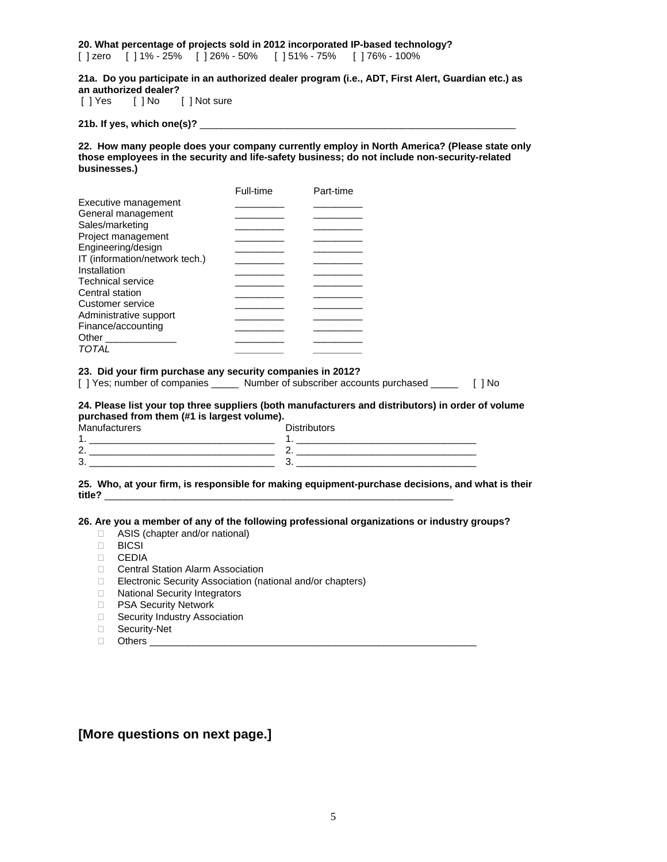**20. What percentage of projects sold in 2012 incorporated IP-based technology?**  [ ] zero [ ] 1% - 25% [ ] 26% - 50% [ ] 51% - 75% [ ] 76% - 100%

**21a. Do you participate in an authorized dealer program (i.e., ADT, First Alert, Guardian etc.) as an authorized dealer?** 

[ ] Not sure

**21b. If yes, which one(s)?** \_\_\_\_\_\_\_\_\_\_\_\_\_\_\_\_\_\_\_\_\_\_\_\_\_\_\_\_\_\_\_\_\_\_\_\_\_\_\_\_\_\_\_\_\_\_\_\_\_\_\_\_\_\_\_\_\_\_

**22. How many people does your company currently employ in North America? (Please state only those employees in the security and life-safety business; do not include non-security-related businesses.)** 

|                                | Full-time | Part-time |
|--------------------------------|-----------|-----------|
| Executive management           |           |           |
| General management             |           |           |
| Sales/marketing                |           |           |
| Project management             |           |           |
| Engineering/design             |           |           |
| IT (information/network tech.) |           |           |
| Installation                   |           |           |
| <b>Technical service</b>       |           |           |
| Central station                |           |           |
| Customer service               |           |           |
| Administrative support         |           |           |
| Finance/accounting             |           |           |
| Other                          |           |           |
| TOTAL                          |           |           |

### **23. Did your firm purchase any security companies in 2012?**

[ ] Yes; number of companies \_\_\_\_\_ Number of subscriber accounts purchased \_\_\_\_\_ [ ] No

**24. Please list your top three suppliers (both manufacturers and distributors) in order of volume purchased from them (#1 is largest volume).** 

| Manufacturers        | <b>Distributors</b> |
|----------------------|---------------------|
|                      |                     |
| $\sim$<br>$\epsilon$ |                     |
| ົ<br>. ب             |                     |

**25. Who, at your firm, is responsible for making equipment-purchase decisions, and what is their title?** \_\_\_\_\_\_\_\_\_\_\_\_\_\_\_\_\_\_\_\_\_\_\_\_\_\_\_\_\_\_\_\_\_\_\_\_\_\_\_\_\_\_\_\_\_\_\_\_\_\_\_\_\_\_\_\_\_\_\_\_\_\_\_\_

**26. Are you a member of any of the following professional organizations or industry groups?** 

- □ ASIS (chapter and/or national)
- **BICSI**
- CEDIA
- Central Station Alarm Association
- □ Electronic Security Association (national and/or chapters)
- D National Security Integrators
- **D** PSA Security Network
- Security Industry Association
- □ Security-Net
- $\Box$  Others

### **[More questions on next page.]**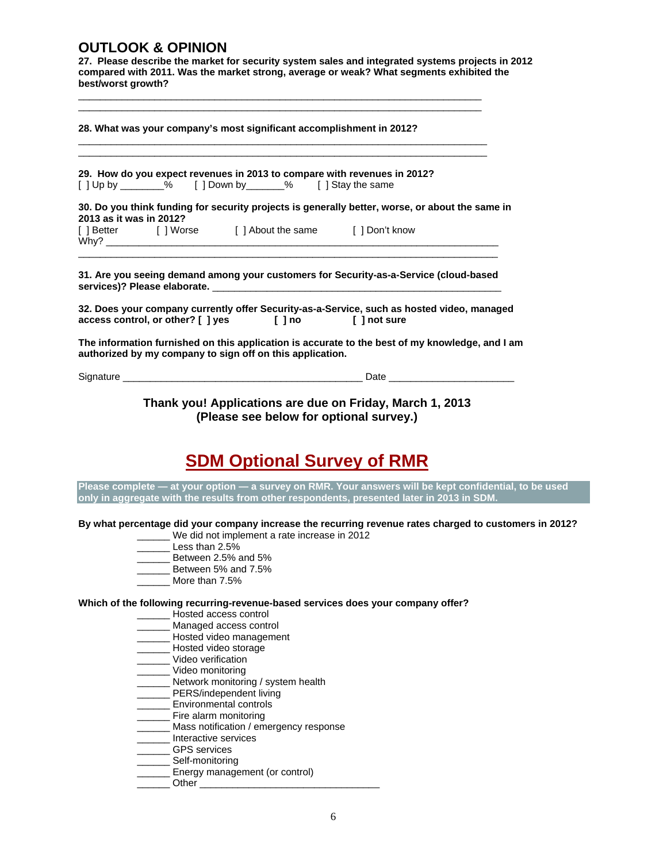### **OUTLOOK & OPINION**

**27. Please describe the market for security system sales and integrated systems projects in 2012 compared with 2011. Was the market strong, average or weak? What segments exhibited the best/worst growth?** 

\_\_\_\_\_\_\_\_\_\_\_\_\_\_\_\_\_\_\_\_\_\_\_\_\_\_\_\_\_\_\_\_\_\_\_\_\_\_\_\_\_\_\_\_\_\_\_\_\_\_\_\_\_\_\_\_\_\_\_\_\_\_\_\_\_\_\_\_\_\_\_\_\_\_

| 28. What was your company's most significant accomplishment in 2012?                                                                                                                                                                                                                                                                                                                                                                                               |  | the control of the control of the control of the control of the control of the control of |  |  |
|--------------------------------------------------------------------------------------------------------------------------------------------------------------------------------------------------------------------------------------------------------------------------------------------------------------------------------------------------------------------------------------------------------------------------------------------------------------------|--|-------------------------------------------------------------------------------------------|--|--|
| 29. How do you expect revenues in 2013 to compare with revenues in 2012?                                                                                                                                                                                                                                                                                                                                                                                           |  |                                                                                           |  |  |
| [] Up by ________% [] Down by ______% [] Stay the same                                                                                                                                                                                                                                                                                                                                                                                                             |  |                                                                                           |  |  |
| 30. Do you think funding for security projects is generally better, worse, or about the same in<br>2013 as it was in 2012?                                                                                                                                                                                                                                                                                                                                         |  |                                                                                           |  |  |
|                                                                                                                                                                                                                                                                                                                                                                                                                                                                    |  |                                                                                           |  |  |
|                                                                                                                                                                                                                                                                                                                                                                                                                                                                    |  |                                                                                           |  |  |
|                                                                                                                                                                                                                                                                                                                                                                                                                                                                    |  |                                                                                           |  |  |
|                                                                                                                                                                                                                                                                                                                                                                                                                                                                    |  |                                                                                           |  |  |
| [] Better [] Worse [] About the same [] Don't know<br>31. Are you seeing demand among your customers for Security-as-a-Service (cloud-based<br>32. Does your company currently offer Security-as-a-Service, such as hosted video, managed<br>access control, or other? [ ] yes [ ] no [ ] not sure<br>The information furnished on this application is accurate to the best of my knowledge, and I am<br>authorized by my company to sign off on this application. |  |                                                                                           |  |  |

**Thank you! Applications are due on Friday, March 1, 2013 (Please see below for optional survey.)** 

# **SDM Optional Survey of RMR**

**Please complete — at your option — a survey on RMR. Your answers will be kept confidential, to be used only in aggregate with the results from other respondents, presented later in 2013 in SDM.** 

**By what percentage did your company increase the recurring revenue rates charged to customers in 2012?** 

- \_\_\_\_\_\_ We did not implement a rate increase in 2012
- Less than  $2.5%$
- Between 2.5% and 5%
- \_\_\_\_\_\_ Between 5% and 7.5%
- More than 7.5%

**Which of the following recurring-revenue-based services does your company offer?** 

- \_\_\_\_\_\_ Hosted access control
- Managed access control
- Hosted video management
- \_\_\_\_\_\_ Hosted video storage
- \_\_\_\_\_\_ Video verification
- \_\_\_\_\_\_ Video monitoring
- \_\_\_\_\_\_ Network monitoring / system health
- \_\_\_\_\_\_ PERS/independent living
- \_\_\_\_\_\_ Environmental controls
- \_\_\_\_\_\_ Fire alarm monitoring
- \_\_\_\_\_\_ Mass notification / emergency response
- \_\_\_\_\_\_ Interactive services
- \_\_\_\_\_\_ GPS services Self-monitoring
- 
- \_\_\_\_\_\_ Energy management (or control)  $\_$  Other  $\_$

6